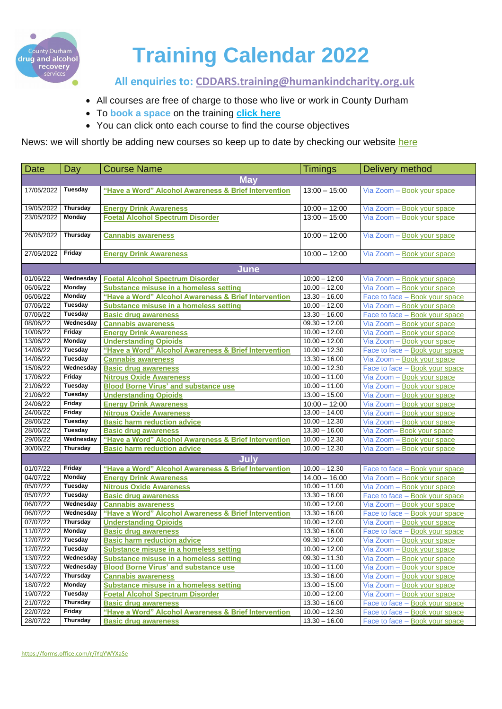

# **Training Calendar 2022**

 **All enquiries to: [CDDARS.training@humankindcharity.org.uk](mailto:CDDARS.training@humankindcharity.org.uk)**

- All courses are free of charge to those who live or work in County Durham
- To **book a space** on the training **[click here](https://forms.office.com/pages/responsepage.aspx?id=QcO8NJelvkGbFh8f5c750aMzwqYN93hOqzC-qfB5ZL1URjMzT0EzSVJBVldSQkhOTkc3WDlIRExYMSQlQCN0PWcu)**
- You can click onto each course to find the course objectives

News: we will shortly be adding new courses so keep up to date by checking our website [here](https://humankindcharity.org.uk/service/county-durham-drug-and-alcohol-recovery-service/)

| <b>Date</b>          | <b>Day</b>                      | <b>Course Name</b>                                                                    | <b>Timings</b>                     | Delivery method                                          |
|----------------------|---------------------------------|---------------------------------------------------------------------------------------|------------------------------------|----------------------------------------------------------|
| <b>May</b>           |                                 |                                                                                       |                                    |                                                          |
| 17/05/2022           | <b>Tuesday</b>                  | "Have a Word" Alcohol Awareness & Brief Intervention                                  | $13:00 - 15:00$                    | Via Zoom - Book your space                               |
|                      |                                 |                                                                                       |                                    |                                                          |
| 19/05/2022           | <b>Thursday</b>                 | <b>Energy Drink Awareness</b>                                                         | $10:00 - 12:00$                    | Via Zoom - Book your space                               |
| 23/05/2022           | <b>Monday</b>                   | <b>Foetal Alcohol Spectrum Disorder</b>                                               | $13:00 - 15:00$                    | Via Zoom - Book your space                               |
|                      |                                 |                                                                                       |                                    |                                                          |
| 26/05/2022           | <b>Thursday</b>                 | <b>Cannabis awareness</b>                                                             | $10:00 - 12:00$                    | Via Zoom - Book your space                               |
|                      |                                 |                                                                                       |                                    |                                                          |
| 27/05/2022           | <b>Friday</b>                   | <b>Energy Drink Awareness</b>                                                         | $10:00 - 12:00$                    | Via Zoom - Book your space                               |
| June                 |                                 |                                                                                       |                                    |                                                          |
| 01/06/22             | Wednesday                       | <b>Foetal Alcohol Spectrum Disorder</b>                                               | $10:00 - 12:00$                    | Via Zoom - Book your space                               |
| 06/06/22             | <b>Monday</b>                   | <b>Substance misuse in a homeless setting</b>                                         | $10.00 - 12.00$                    | Via Zoom - Book your space                               |
| 06/06/22             | <b>Monday</b>                   | "Have a Word" Alcohol Awareness & Brief Intervention                                  | $13.30 - 16.00$                    | Face to face - Book your space                           |
| 07/06/22             | <b>Tuesday</b>                  | <b>Substance misuse in a homeless setting</b>                                         | $10.00 - 12.00$                    | Via Zoom - Book your space                               |
| 07/06/22             | <b>Tuesday</b>                  | <b>Basic drug awareness</b>                                                           | $13.30 - 16.00$                    | Face to face - Book your space                           |
| 08/06/22             | Wednesday                       | <b>Cannabis awareness</b>                                                             | $09.30 - 12.00$                    | Via Zoom - Book your space                               |
| 10/06/22             | <b>Friday</b>                   | <b>Energy Drink Awareness</b>                                                         | $10.00 - 12.00$                    | Via Zoom - Book your space                               |
| 13/06/22             | <b>Monday</b>                   | <b>Understanding Opioids</b>                                                          | $10.00 - 12.00$                    | Via Zoom - Book your space                               |
| 14/06/22             | <b>Tuesday</b>                  | "Have a Word" Alcohol Awareness & Brief Intervention                                  | $10.00 - 12.30$                    | Face to face - Book your space                           |
| 14/06/22             | <b>Tuesday</b>                  | <b>Cannabis awareness</b>                                                             | $13.30 - 16.00$                    | Via Zoom - Book your space                               |
| 15/06/22             | Wednesday                       | <b>Basic drug awareness</b>                                                           | $10.00 - 12.30$                    | Face to face – Book your space                           |
| 17/06/22             | <b>Friday</b>                   | <b>Nitrous Oxide Awareness</b>                                                        | $10.00 - 11.00$                    | Via Zoom - Book your space                               |
| 21/06/22             | <b>Tuesday</b>                  | <b>Blood Borne Virus' and substance use</b>                                           | $10.00 - 11.00$                    | Via Zoom - Book your space                               |
| 21/06/22             | <b>Tuesday</b>                  | <b>Understanding Opioids</b>                                                          | $13.00 - 15.00$                    | Via Zoom - Book your space                               |
| 24/06/22             | <b>Friday</b>                   | <b>Energy Drink Awareness</b>                                                         | $\overline{10:00} - 12:00$         | Via Zoom - Book your space                               |
| 24/06/22             | <b>Friday</b>                   | <b>Nitrous Oxide Awareness</b>                                                        | $13.00 - 14.00$                    | Via Zoom - Book your space                               |
| 28/06/22             | <b>Tuesday</b>                  | <b>Basic harm reduction advice</b>                                                    | $10.00 - 12.30$                    | Via Zoom - Book your space                               |
| 28/06/22             | <b>Tuesday</b>                  | <b>Basic drug awareness</b>                                                           | $13.30 - 16.00$                    | Via Zoom-Book your space                                 |
| 29/06/22             | Wednesday                       | "Have a Word" Alcohol Awareness & Brief Intervention                                  | $10.00 - 12.30$                    | Via Zoom - Book your space                               |
| 30/06/22             | <b>Thursday</b>                 | <b>Basic harm reduction advice</b>                                                    | $10.00 - 12.30$                    | Via Zoom - Book your space                               |
| <b>July</b>          |                                 |                                                                                       |                                    |                                                          |
| 01/07/22             | <b>Friday</b>                   | "Have a Word" Alcohol Awareness & Brief Intervention                                  | $10.00 - 12.30$                    | Face to face – Book your space                           |
| 04/07/22             | <b>Monday</b>                   | <b>Energy Drink Awareness</b>                                                         | $14.00 - 16.00$                    | Via Zoom - Book your space                               |
| 05/07/22             | <b>Tuesday</b>                  | <b>Nitrous Oxide Awareness</b>                                                        | $10.00 - 11.00$                    | Via Zoom - Book your space                               |
| 05/07/22             | <b>Tuesday</b>                  | <b>Basic drug awareness</b>                                                           | $13.30 - 16.00$                    | Face to face – Book your space                           |
| 06/07/22             | Wednesday                       | <b>Cannabis awareness</b>                                                             | $10.00 - 12.00$                    | Via Zoom - Book your space                               |
| 06/07/22             | Wednesday                       | "Have a Word" Alcohol Awareness & Brief Intervention                                  | $13.30 - 16.00$                    | Face to face - Book your space                           |
| 07/07/22             | <b>Thursday</b>                 | <b>Understanding Opioids</b>                                                          | $10.00 - 12.00$                    | Via Zoom - Book your space                               |
| 11/07/22<br>12/07/22 | <b>Monday</b><br><b>Tuesday</b> | <b>Basic drug awareness</b>                                                           | $13.30 - 16.00$<br>$09.30 - 12.00$ | Face to face – Book your space                           |
| 12/07/22             | <b>Tuesday</b>                  | <b>Basic harm reduction advice</b><br>Substance misuse in a homeless setting          | $10.00 - 12.00$                    | Via Zoom - Book your space                               |
| 13/07/22             | Wednesday                       |                                                                                       | $09.30 - 11.30$                    | Via Zoom - Book your space<br>Via Zoom - Book your space |
| 13/07/22             | Wednesday                       | Substance misuse in a homeless setting<br><b>Blood Borne Virus' and substance use</b> | $10.00 - 11.00$                    | Via Zoom - Book your space                               |
| 14/07/22             | <b>Thursday</b>                 | <b>Cannabis awareness</b>                                                             | $13.30 - 16.00$                    | Via Zoom - Book your space                               |
| 18/07/22             | <b>Monday</b>                   | <b>Substance misuse in a homeless setting</b>                                         | $13.00 - 15.00$                    | Via Zoom - Book your space                               |
| 19/07/22             | <b>Tuesday</b>                  | <b>Foetal Alcohol Spectrum Disorder</b>                                               | $10.00 - 12.00$                    | Via Zoom - Book your space                               |
| 21/07/22             | <b>Thursday</b>                 | <b>Basic drug awareness</b>                                                           | $13.30 - 16.00$                    | Face to face – Book your space                           |
| 22/07/22             | <b>Friday</b>                   | "Have a Word" Alcohol Awareness & Brief Intervention                                  | $10.00 - 12.30$                    | Face to face – Book your space                           |
| 28/07/22             | Thursday                        | <b>Basic drug awareness</b>                                                           | $13.30 - 16.00$                    | Face to face – Book your space                           |

<https://forms.office.com/r/iYqYWYXaSe>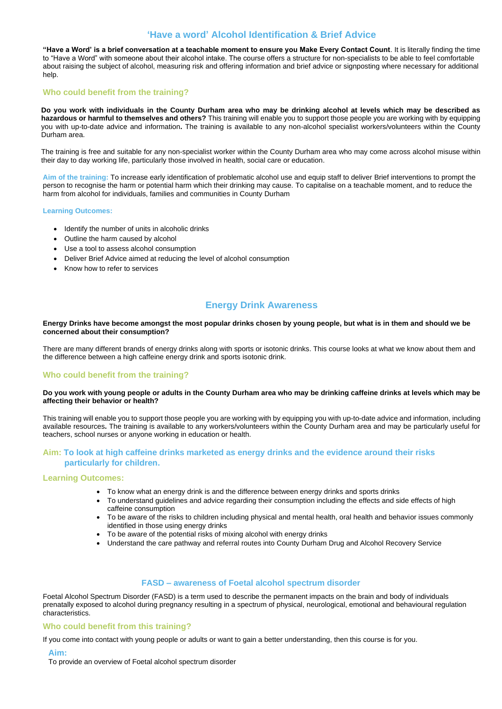# **'Have a word' Alcohol Identification & Brief Advice**

<span id="page-1-0"></span>**"Have a Word' is a brief conversation at a teachable moment to ensure you Make Every Contact Count**. It is literally finding the time to "Have a Word" with someone about their alcohol intake. The course offers a structure for non-specialists to be able to feel comfortable about raising the subject of alcohol, measuring risk and offering information and brief advice or signposting where necessary for additional help.

# **Who could benefit from the training?**

**Do you work with individuals in the County Durham area who may be drinking alcohol at levels which may be described as hazardous or harmful to themselves and others?** This training will enable you to support those people you are working with by equipping you with up-to-date advice and information**.** The training is available to any non-alcohol specialist workers/volunteers within the County Durham area.

- Identify the number of units in alcoholic drinks
- Outline the harm caused by alcohol
- Use a tool to assess alcohol consumption
- Deliver Brief Advice aimed at reducing the level of alcohol consumption
- Know how to refer to services

The training is free and suitable for any non-specialist worker within the County Durham area who may come across alcohol misuse within their day to day working life, particularly those involved in health, social care or education.

**Aim of the training:** To increase early identification of problematic alcohol use and equip staff to deliver Brief interventions to prompt the person to recognise the harm or potential harm which their drinking may cause. To capitalise on a teachable moment, and to reduce the harm from alcohol for individuals, families and communities in County Durham

## **Learning Outcomes:**

# **Energy Drink Awareness**

## <span id="page-1-1"></span>**Energy Drinks have become amongst the most popular drinks chosen by young people, but what is in them and should we be concerned about their consumption?**

There are many different brands of energy drinks along with sports or isotonic drinks. This course looks at what we know about them and the difference between a high caffeine energy drink and sports isotonic drink.

# **Who could benefit from the training?**

## **Do you work with young people or adults in the County Durham area who may be drinking caffeine drinks at levels which may be affecting their behavior or health?**

This training will enable you to support those people you are working with by equipping you with up-to-date advice and information, including available resources**.** The training is available to any workers/volunteers within the County Durham area and may be particularly useful for teachers, school nurses or anyone working in education or health.

# **Aim: To look at high caffeine drinks marketed as energy drinks and the evidence around their risks particularly for children.**

## **Learning Outcomes:**

- To know what an energy drink is and the difference between energy drinks and sports drinks
- To understand guidelines and advice regarding their consumption including the effects and side effects of high caffeine consumption
- To be aware of the risks to children including physical and mental health, oral health and behavior issues commonly identified in those using energy drinks
- To be aware of the potential risks of mixing alcohol with energy drinks
- 
- Understand the care pathway and referral routes into County Durham Drug and Alcohol Recovery Service

# **FASD – awareness of Foetal alcohol spectrum disorder**

<span id="page-1-2"></span>Foetal Alcohol Spectrum Disorder (FASD) is a term used to describe the permanent impacts on the brain and body of individuals prenatally exposed to alcohol during pregnancy resulting in a spectrum of physical, neurological, emotional and behavioural regulation characteristics.

# **Who could benefit from this training?**

If you come into contact with young people or adults or want to gain a better understanding, then this course is for you.

## **Aim:**

To provide an overview of Foetal alcohol spectrum disorder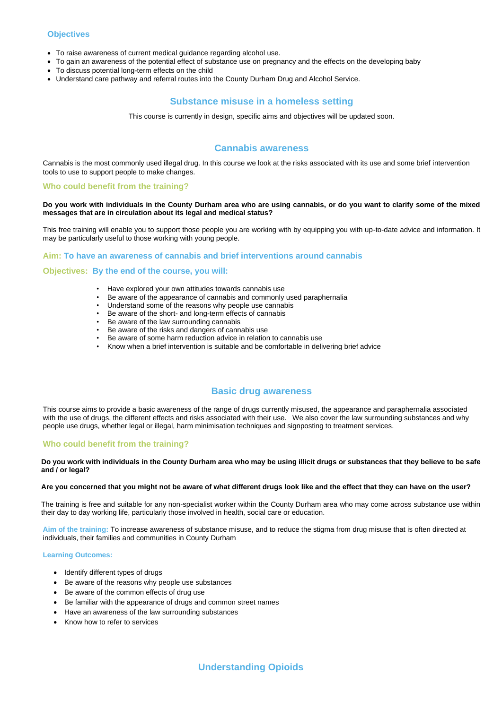# **Objectives**

- To raise awareness of current medical guidance regarding alcohol use.
- To gain an awareness of the potential effect of substance use on pregnancy and the effects on the developing baby
- To discuss potential long-term effects on the child
- <span id="page-2-1"></span>• Understand care pathway and referral routes into the County Durham Drug and Alcohol Service.

# **Substance misuse in a homeless setting**

This course is currently in design, specific aims and objectives will be updated soon.

# **Cannabis awareness**

<span id="page-2-0"></span>Cannabis is the most commonly used illegal drug. In this course we look at the risks associated with its use and some brief intervention tools to use to support people to make changes.

## **Who could benefit from the training?**

## **Do you work with individuals in the County Durham area who are using cannabis, or do you want to clarify some of the mixed messages that are in circulation about its legal and medical status?**

This free training will enable you to support those people you are working with by equipping you with up-to-date advice and information. It may be particularly useful to those working with young people.

## **Aim: To have an awareness of cannabis and brief interventions around cannabis**

## **Objectives: By the end of the course, you will:**

- Identify different types of drugs
- Be aware of the reasons why people use substances
- Be aware of the common effects of drug use
- Be familiar with the appearance of drugs and common street names
- Have an awareness of the law surrounding substances
- <span id="page-2-3"></span>• Know how to refer to services
- Have explored your own attitudes towards cannabis use
- Be aware of the appearance of cannabis and commonly used paraphernalia
- Understand some of the reasons why people use cannabis
- Be aware of the short- and long-term effects of cannabis
- Be aware of the law surrounding cannabis
- Be aware of the risks and dangers of cannabis use
- Be aware of some harm reduction advice in relation to cannabis use
- Know when a brief intervention is suitable and be comfortable in delivering brief advice

# **Basic drug awareness**

<span id="page-2-2"></span>This course aims to provide a basic awareness of the range of drugs currently misused, the appearance and paraphernalia associated with the use of drugs, the different effects and risks associated with their use. We also cover the law surrounding substances and why people use drugs, whether legal or illegal, harm minimisation techniques and signposting to treatment services.

# **Who could benefit from the training?**

#### **Do you work with individuals in the County Durham area who may be using illicit drugs or substances that they believe to be safe and / or legal?**

#### **Are you concerned that you might not be aware of what different drugs look like and the effect that they can have on the user?**

The training is free and suitable for any non-specialist worker within the County Durham area who may come across substance use within their day to day working life, particularly those involved in health, social care or education.

**Aim of the training:** To increase awareness of substance misuse, and to reduce the stigma from drug misuse that is often directed at

## individuals, their families and communities in County Durham

#### **Learning Outcomes:**

**Understanding Opioids**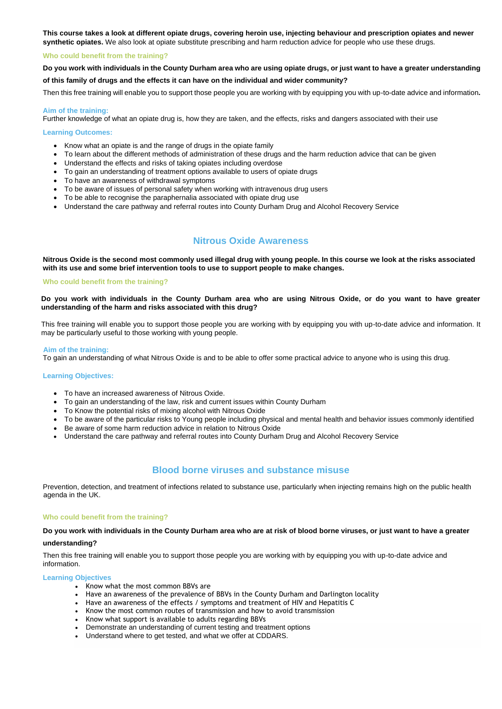**This course takes a look at different opiate drugs, covering heroin use, injecting behaviour and prescription opiates and newer synthetic opiates.** We also look at opiate substitute prescribing and harm reduction advice for people who use these drugs.

### **Who could benefit from the training?**

**Do you work with individuals in the County Durham area who are using opiate drugs, or just want to have a greater understanding** 

#### **of this family of drugs and the effects it can have on the individual and wider community?**

Then this free training will enable you to support those people you are working with by equipping you with up-to-date advice and information**.** 

#### **Aim of the training:**

Further knowledge of what an opiate drug is, how they are taken, and the effects, risks and dangers associated with their use

#### **Learning Outcomes:**

- Know what an opiate is and the range of drugs in the opiate family
- To learn about the different methods of administration of these drugs and the harm reduction advice that can be given
- Understand the effects and risks of taking opiates including overdose
- To gain an understanding of treatment options available to users of opiate drugs
- To have an awareness of withdrawal symptoms
- To be aware of issues of personal safety when working with intravenous drug users
- To be able to recognise the paraphernalia associated with opiate drug use
- Understand the care pathway and referral routes into County Durham Drug and Alcohol Recovery Service

# **Nitrous Oxide Awareness**

<span id="page-3-0"></span>**Nitrous Oxide is the second most commonly used illegal drug with young people. In this course we look at the risks associated with its use and some brief intervention tools to use to support people to make changes.**

#### **Who could benefit from the training?**

**Do you work with individuals in the County Durham area who are using Nitrous Oxide, or do you want to have greater understanding of the harm and risks associated with this drug?**

This free training will enable you to support those people you are working with by equipping you with up-to-date advice and information. It may be particularly useful to those working with young people.

#### **Aim of the training:**

To gain an understanding of what Nitrous Oxide is and to be able to offer some practical advice to anyone who is using this drug.

#### **Learning Objectives:**

- To have an increased awareness of Nitrous Oxide.
- To gain an understanding of the law, risk and current issues within County Durham
- To Know the potential risks of mixing alcohol with Nitrous Oxide
- To be aware of the particular risks to Young people including physical and mental health and behavior issues commonly identified
- Be aware of some harm reduction advice in relation to Nitrous Oxide
- Understand the care pathway and referral routes into County Durham Drug and Alcohol Recovery Service

# **Blood borne viruses and substance misuse**

<span id="page-3-1"></span>Prevention, detection, and treatment of infections related to substance use, particularly when injecting remains high on the public health agenda in the UK.

#### **Who could benefit from the training?**

**Do you work with individuals in the County Durham area who are at risk of blood borne viruses, or just want to have a greater** 

## **understanding?**

Then this free training will enable you to support those people you are working with by equipping you with up-to-date advice and information.

#### **Learning Objectives**

- Know what the most common BBVs are
- Have an awareness of the prevalence of BBVs in the County Durham and Darlington locality
- Have an awareness of the effects / symptoms and treatment of HIV and Hepatitis C
- Know the most common routes of transmission and how to avoid transmission
- Know what support is available to adults regarding BBVs
- Demonstrate an understanding of current testing and treatment options
- <span id="page-3-2"></span>• Understand where to get tested, and what we offer at CDDARS.